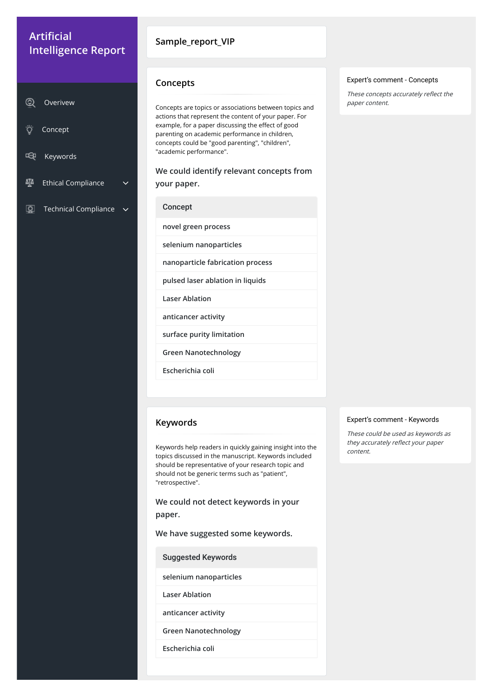### **Sample\_report\_VIP**

Concepts are topics or associations between topics and actions that represent the content of your paper. For example, for a paper discussing the effect of good parenting on academic performance in children, concepts could be "good parenting", "children", "academic performance".

**We could identify relevant concepts from your paper.**

**Concept** 

These concepts accurately reflect the paper content.

### **Concepts**

**novel green process**

**selenium nanoparticles**

**nanoparticle fabrication process**

**pulsed laser ablation in liquids**

**Laser Ablation**

**anticancer activity**

**surface purity limitation**

**Green Nanotechnology**

**Escherichia coli**

#### Expert's comment - Concepts

# **Artificial Intelligence Report**

|    | Overivew                    |  |
|----|-----------------------------|--|
| Ö  | Concept                     |  |
| 모쿠 | Keywords                    |  |
| ĄÃ | <b>Ethical Compliance</b>   |  |
|    | <b>Technical Compliance</b> |  |

Keywords help readers in quickly gaining insight into the topics discussed in the manuscript. Keywords included should be representative of your research topic and should not be generic terms such as "patient", "retrospective".

**We could not detect keywords in your paper.**

**We have suggested some keywords.**

### **Keywords**

Suggested Keywords

**selenium nanoparticles**

**Laser Ablation**

**anticancer activity**

**Green Nanotechnology**

**Escherichia coli**

#### Expert's comment - Keywords

These could be used as keywords as they accurately reflect your paper content.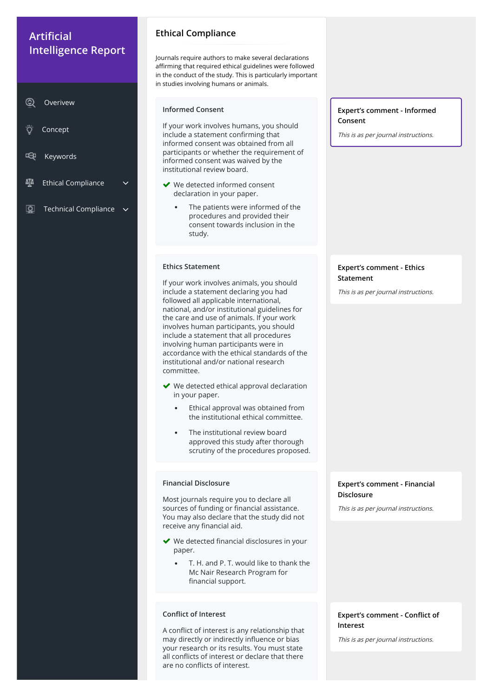Journals require authors to make several declarations affirming that required ethical guidelines were followed in the conduct of the study. This is particularly important in studies involving humans or animals.

## **Ethical Compliance**

### **Informed Consent**

- ◆ We detected informed consent declaration in your paper.
	- The patients were informed of the  $\bullet$ procedures and provided their consent towards inclusion in the study.

If your work involves humans, you should include a statement confirming that informed consent was obtained from all participants or whether the requirement of informed consent was waived by the institutional review board.

### **Expert's comment - Informed Consent**

- ◆ We detected ethical approval declaration in your paper.
	- Ethical approval was obtained from  $\bullet$ the institutional ethical committee.
	- $\bullet$ The institutional review board approved this study after thorough scrutiny of the procedures proposed.

This is as per journal instructions.

### **Ethics Statement**

If your work involves animals, you should include a statement declaring you had followed all applicable international, national, and/or institutional guidelines for the care and use of animals. If your work involves human participants, you should include a statement that all procedures involving human participants were in accordance with the ethical standards of the institutional and/or national research committee.

> **Expert's comment - Conflict of Interest**

# **Artificial Intelligence Report**

- 〔一〕 Keywords
- 砸 Ethical Compliance
- $\boxed{\mathcal{Q}}$ Technical Compliance

### **Expert's comment - Ethics Statement**

This is as per journal instructions.

### **Financial Disclosure**

Most journals require you to declare all sources of funding or financial assistance. You may also declare that the study did not

### **Expert's comment - Financial Disclosure**

This is as per journal instructions.

receive any financial aid.

- $\blacktriangleright$  We detected financial disclosures in your paper.
	- $\bullet$ T. H. and P. T. would like to thank the Mc Nair Research Program for financial support.

#### **Conflict of Interest**

A conflict of interest is any relationship that may directly or indirectly influence or bias your research or its results. You must state all conflicts of interest or declare that there are no conflicts of interest.

This is as per journal instructions.

| (2) Overivew |
|--------------|
|              |
|              |

Concept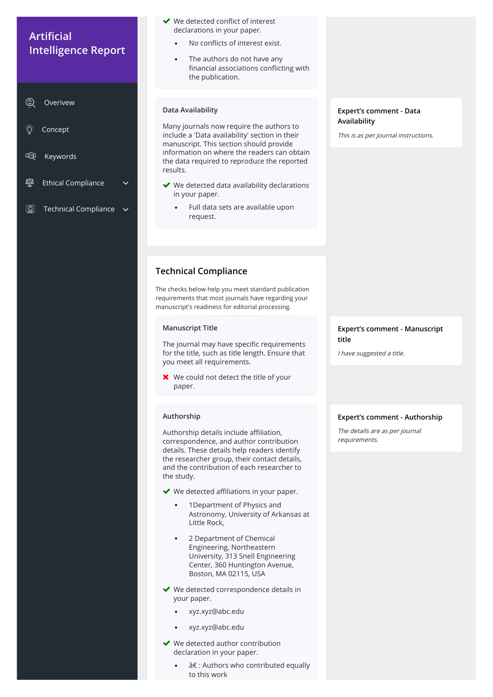- $\blacktriangleright$  We detected conflict of interest declarations in your paper.
	- No conflicts of interest exist.  $\bullet$
	- The authors do not have any  $\bullet$ financial associations conflicting with the publication.

### **Data Availability**

- ◆ We detected data availability declarations in your paper.
	- Full data sets are available upon  $\bullet$ request.

Many journals now require the authors to include a 'Data availability' section in their manuscript. This section should provide information on where the readers can obtain the data required to reproduce the reported results.

The journal may have specific requirements for the title, such as title length. Ensure that you meet all requirements.

**X** We could not detect the title of your paper.

### **Expert's comment - Data Availability**

This is as per journal instructions.

# **Technical Compliance**

Authorship details include affiliation, correspondence, and author contribution details. These details help readers identify the researcher group, their contact details, and the contribution of each researcher to the study.

- $\blacktriangleright$  We detected affiliations in your paper.
	- 1Department of Physics and Astronomy, University of Arkansas at Little Rock,

The checks below help you meet standard publication requirements that most journals have regarding your manuscript's readiness for editorial processing.

### **Manuscript Title**

# **Artificial Intelligence Report**

 $^{\circledR}$ Overivew

- Ö Concept
- 啞 Keywords
- 砸 Ethical Compliance  $\sim$
- $\boxed{\mathcal{Q}}$ Technical Compliance

### **Expert's comment - Manuscript title**

I have suggested a title.

### **Authorship**

- 2 Department of Chemical Engineering, Northeastern University, 313 Snell Engineering Center, 360 Huntington Avenue, Boston, MA 02115, USA
- ◆ We detected correspondence details in your paper.
	- xyz.xyz@abc.edu  $\bullet$
	- $\bullet$ xyz.xyz@abc.edu
- ◆ We detected author contribution declaration in your paper.
	- $\hat{a} \in \mathbb{R}$ : Authors who contributed equally to this work

### **Expert's comment - Authorship**

The details are as per journal requirements.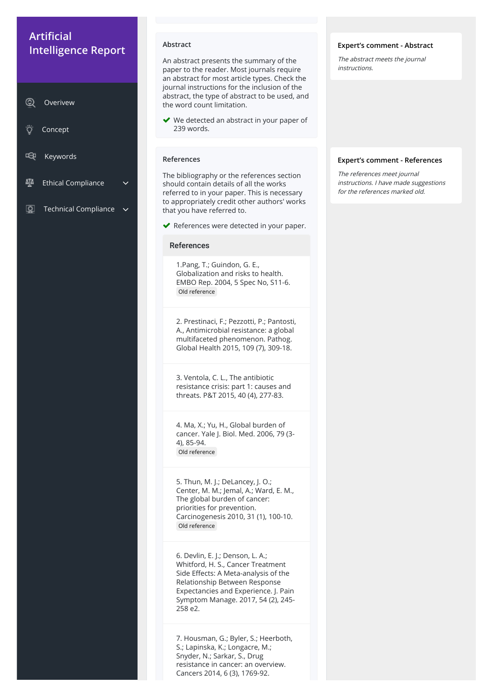#### **Abstract**

An abstract presents the summary of the paper to the reader. Most journals require an abstract for most article types. Check the journal instructions for the inclusion of the abstract, the type of abstract to be used, and the word count limitation.

◆ We detected an abstract in your paper of 239 words.

#### **Expert's comment - Abstract**

The abstract meets the journal instructions.

#### **References**

The bibliography or the references section should contain details of all the works referred to in your paper. This is necessary to appropriately credit other authors' works that you have referred to.

◆ References were detected in your paper.

#### References

1.Pang, T.; Guindon, G. E., Globalization and risks to health. EMBO Rep. 2004, 5 Spec No, S11-6. Old reference

2. Prestinaci, F.; Pezzotti, P.; Pantosti, A., Antimicrobial resistance: a global multifaceted phenomenon. Pathog. Global Health 2015, 109 (7), 309-18.

# **Artificial Intelligence Report**

- Concept
- 呜 Keywords
- 砸 Ethical Compliance  $\sim$
- $\boxed{\mathcal{Q}}$ Technical Compliance  $\sim$

3. Ventola, C. L., The antibiotic resistance crisis: part 1: causes and threats. P&T 2015, 40 (4), 277-83.

4. Ma, X.; Yu, H., Global burden of cancer. Yale J. Biol. Med. 2006, 79 (3- 4), 85-94. Old reference

5. Thun, M. J.; DeLancey, J. O.; Center, M. M.; Jemal, A.; Ward, E. M., The global burden of cancer: priorities for prevention. Carcinogenesis 2010, 31 (1), 100-10.

#### Old reference

6. Devlin, E. J.; Denson, L. A.; Whitford, H. S., Cancer Treatment Side Effects: A Meta-analysis of the Relationship Between Response Expectancies and Experience. J. Pain Symptom Manage. 2017, 54 (2), 245- 258 e2.

7. Housman, G.; Byler, S.; Heerboth, S.; Lapinska, K.; Longacre, M.; Snyder, N.; Sarkar, S., Drug resistance in cancer: an overview. Cancers 2014, 6 (3), 1769-92.

#### **Expert's comment - References**

The references meet journal instructions. I have made suggestions for the references marked old.

| $\circledcirc$ | Overivew |
|----------------|----------|
|----------------|----------|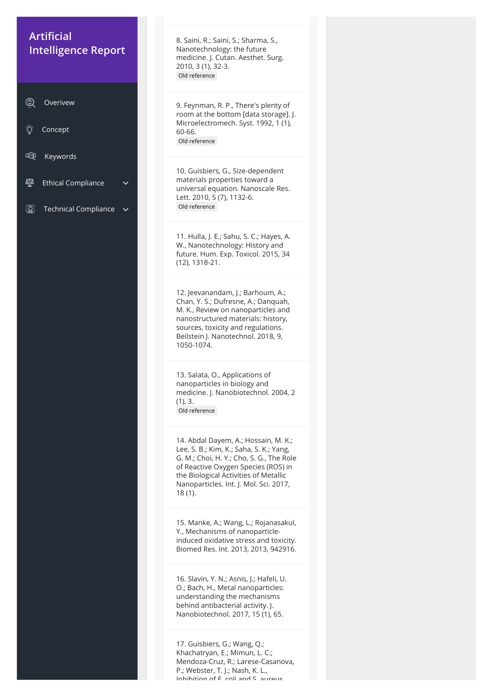8. Saini, R.; Saini, S.; Sharma, S., Nanotechnology: the future medicine. J. Cutan. Aesthet. Surg. 2010, 3 (1), 32-3. Old reference

9. Feynman, R. P., There's plenty of room at the bottom [data storage]. J. Microelectromech. Syst. 1992, 1 (1), 60-66. Old reference

10. Guisbiers, G., Size-dependent materials properties toward a universal equation. Nanoscale Res. Lett. 2010, 5 (7), 1132-6. Old reference

11. Hulla, J. E.; Sahu, S. C.; Hayes, A. W., Nanotechnology: History and future. Hum. Exp. Toxicol. 2015, 34 (12), 1318-21.

12. Jeevanandam, J.; Barhoum, A.; Chan, Y. S.; Dufresne, A.; Danquah, M. K., Review on nanoparticles and nanostructured materials: history, sources, toxicity and regulations. Beilstein J. Nanotechnol. 2018, 9, 1050-1074.

17. Guisbiers, G.; Wang, Q.; Khachatryan, E.; Mimun, L. C.; Mendoza-Cruz, R.; Larese-Casanova, P.; Webster, T. J.; Nash, K. L., Inhihition of F coli and S aurous

# **Artificial Intelligence Report**

13. Salata, O., Applications of nanoparticles in biology and medicine. J. Nanobiotechnol. 2004, 2 (1), 3. Old reference

 $^{\circledR}$ Overivew

Ö Concept

呜 Keywords

ช Ethical Compliance  $\sim$ 

 $\boxed{\mathcal{Q}}$ Technical Compliance

> 14. Abdal Dayem, A.; Hossain, M. K.; Lee, S. B.; Kim, K.; Saha, S. K.; Yang, G. M.; Choi, H. Y.; Cho, S. G., The Role of Reactive Oxygen Species (ROS) in the Biological Activities of Metallic Nanoparticles. Int. J. Mol. Sci. 2017, 18 (1).

> 15. Manke, A.; Wang, L.; Rojanasakul,

Y., Mechanisms of nanoparticleinduced oxidative stress and toxicity. Biomed Res. Int. 2013, 2013, 942916.

16. Slavin, Y. N.; Asnis, J.; Hafeli, U. O.; Bach, H., Metal nanoparticles: understanding the mechanisms behind antibacterial activity. J. Nanobiotechnol. 2017, 15 (1), 65.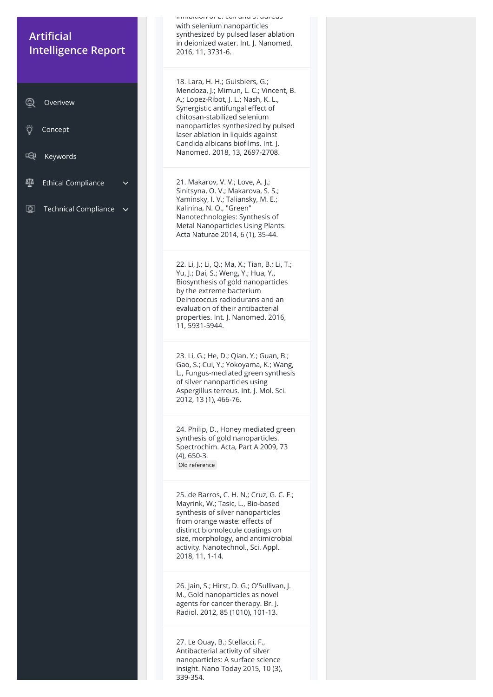Inhibition of E. coli and S. aureus with selenium nanoparticles synthesized by pulsed laser ablation in deionized water. Int. J. Nanomed. 2016, 11, 3731-6.

18. Lara, H. H.; Guisbiers, G.; Mendoza, J.; Mimun, L. C.; Vincent, B. A.; Lopez-Ribot, J. L.; Nash, K. L., Synergistic antifungal effect of chitosan-stabilized selenium nanoparticles synthesized by pulsed laser ablation in liquids against Candida albicans biofilms. Int. J. Nanomed. 2018, 13, 2697-2708.

21. Makarov, V. V.; Love, A. J.; Sinitsyna, O. V.; Makarova, S. S.; Yaminsky, I. V.; Taliansky, M. E.; Kalinina, N. O., "Green" Nanotechnologies: Synthesis of Metal Nanoparticles Using Plants. Acta Naturae 2014, 6 (1), 35-44.

25. de Barros, C. H. N.; Cruz, G. C. F.; Mayrink, W.; Tasic, L., Bio-based synthesis of silver nanoparticles from orange waste: effects of

22. Li, J.; Li, Q.; Ma, X.; Tian, B.; Li, T.; Yu, J.; Dai, S.; Weng, Y.; Hua, Y., Biosynthesis of gold nanoparticles by the extreme bacterium Deinococcus radiodurans and an evaluation of their antibacterial properties. Int. J. Nanomed. 2016, 11, 5931-5944.

# **Artificial Intelligence Report**

23. Li, G.; He, D.; Qian, Y.; Guan, B.; Gao, S.; Cui, Y.; Yokoyama, K.; Wang, L., Fungus-mediated green synthesis of silver nanoparticles using Aspergillus terreus. Int. J. Mol. Sci. 2012, 13 (1), 466-76.

24. Philip, D., Honey mediated green synthesis of gold nanoparticles. Spectrochim. Acta, Part A 2009, 73 (4), 650-3. Old reference

distinct biomolecule coatings on size, morphology, and antimicrobial activity. Nanotechnol., Sci. Appl. 2018, 11, 1-14.

26. Jain, S.; Hirst, D. G.; O'Sullivan, J. M., Gold nanoparticles as novel agents for cancer therapy. Br. J. Radiol. 2012, 85 (1010), 101-13.

27. Le Ouay, B.; Stellacci, F., Antibacterial activity of silver nanoparticles: A surface science insight. Nano Today 2015, 10 (3), 339-354.

| ☺ | 'Overivew |
|---|-----------|
|   |           |

- Ö Concept
- 呜 Keywords
- 砸 Ethical Compliance  $\sim$
- $\boxed{\mathcal{Q}}$ Technical Compliance  $\sim$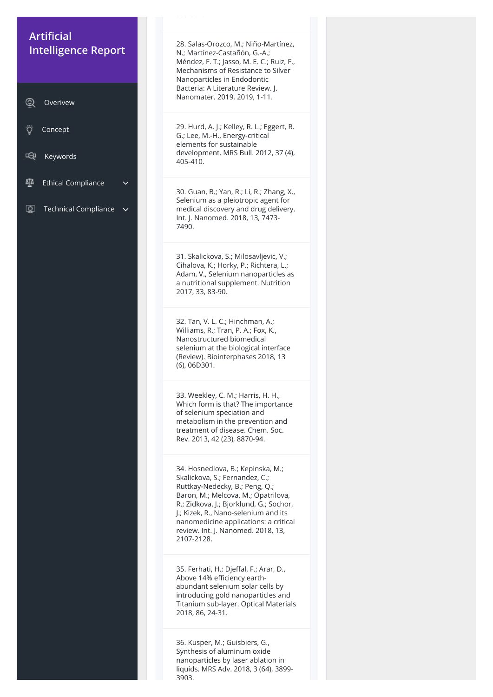339 35 .

28. Salas-Orozco, M.; Niño-Martínez, N.; Martínez-Castañón, G.-A.; Méndez, F. T.; Jasso, M. E. C.; Ruiz, F., Mechanisms of Resistance to Silver Nanoparticles in Endodontic Bacteria: A Literature Review. J. Nanomater. 2019, 2019, 1-11.

29. Hurd, A. J.; Kelley, R. L.; Eggert, R. G.; Lee, M.-H., Energy-critical elements for sustainable development. MRS Bull. 2012, 37 (4), 405-410.

30. Guan, B.; Yan, R.; Li, R.; Zhang, X., Selenium as a pleiotropic agent for medical discovery and drug delivery. Int. J. Nanomed. 2018, 13, 7473- 7490.

31. Skalickova, S.; Milosavljevic, V.; Cihalova, K.; Horky, P.; Richtera, L.; Adam, V., Selenium nanoparticles as a nutritional supplement. Nutrition 2017, 33, 83-90.

35. Ferhati, H.; Djeffal, F.; Arar, D., Above 14% efficiency earthabundant selenium solar cells by introducing gold nanoparticles and Titanium sub-layer. Optical Materials 2018, 86, 24-31.

32. Tan, V. L. C.; Hinchman, A.; Williams, R.; Tran, P. A.; Fox, K., Nanostructured biomedical selenium at the biological interface (Review). Biointerphases 2018, 13 (6), 06D301.

# **Artificial Intelligence Report**

33. Weekley, C. M.; Harris, H. H., Which form is that? The importance of selenium speciation and metabolism in the prevention and treatment of disease. Chem. Soc. Rev. 2013, 42 (23), 8870-94.

34. Hosnedlova, B.; Kepinska, M.; Skalickova, S.; Fernandez, C.; Ruttkay-Nedecky, B.; Peng, Q.; Baron, M.; Melcova, M.; Opatrilova, R.; Zidkova, J.; Bjorklund, G.; Sochor, J.; Kizek, R., Nano-selenium and its nanomedicine applications: a critical

review. Int. J. Nanomed. 2018, 13, 2107-2128.

36. Kusper, M.; Guisbiers, G., Synthesis of aluminum oxide nanoparticles by laser ablation in liquids. MRS Adv. 2018, 3 (64), 3899- 3903.

| $_{\odot}$ | Overivew |
|------------|----------|
|            |          |

| Concept |  |
|---------|--|
|         |  |

- 呜 Keywords
- ช Ethical Compliance  $\sim$
- $\boxed{\mathcal{Q}}$ Technical Compliance  $\sim$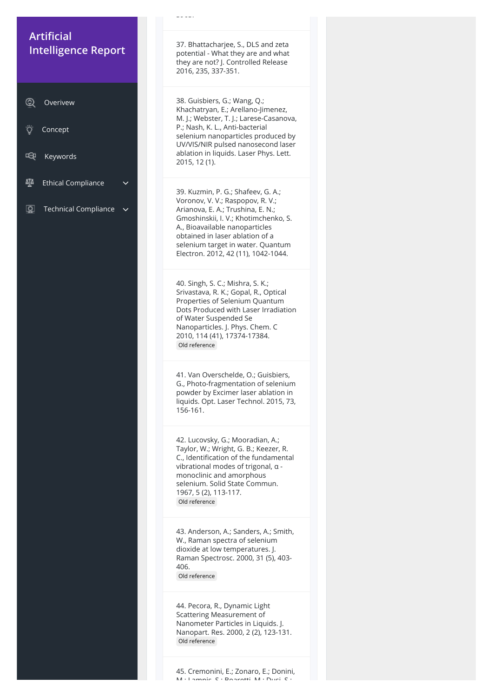3903.

37. Bhattacharjee, S., DLS and zeta potential - What they are and what they are not? J. Controlled Release 2016, 235, 337-351.

38. Guisbiers, G.; Wang, Q.; Khachatryan, E.; Arellano-Jimenez, M. J.; Webster, T. J.; Larese-Casanova, P.; Nash, K. L., Anti-bacterial selenium nanoparticles produced by UV/VIS/NIR pulsed nanosecond laser ablation in liquids. Laser Phys. Lett. 2015, 12 (1).

39. Kuzmin, P. G.; Shafeev, G. A.; Voronov, V. V.; Raspopov, R. V.; Arianova, E. A.; Trushina, E. N.; Gmoshinskii, I. V.; Khotimchenko, S. A., Bioavailable nanoparticles obtained in laser ablation of a selenium target in water. Quantum Electron. 2012, 42 (11), 1042-1044.

40. Singh, S. C.; Mishra, S. K.; Srivastava, R. K.; Gopal, R., Optical Properties of Selenium Quantum Dots Produced with Laser Irradiation of Water Suspended Se Nanoparticles. J. Phys. Chem. C 2010, 114 (41), 17374-17384. Old reference

45. Cremonini, E.; Zonaro, E.; Donini, M : Lampic C : Doarotti M : Duci C :

# **Artificial Intelligence Report**

41. Van Overschelde, O.; Guisbiers, G., Photo-fragmentation of selenium powder by Excimer laser ablation in liquids. Opt. Laser Technol. 2015, 73, 156-161.

42. Lucovsky, G.; Mooradian, A.; Taylor, W.; Wright, G. B.; Keezer, R. C., Identification of the fundamental vibrational modes of trigonal, α monoclinic and amorphous selenium. Solid State Commun. 1967, 5 (2), 113-117. Old reference

43. Anderson, A.; Sanders, A.; Smith, W., Raman spectra of selenium dioxide at low temperatures. J. Raman Spectrosc. 2000, 31 (5), 403- 406. Old reference

44. Pecora, R., Dynamic Light Scattering Measurement of Nanometer Particles in Liquids. J. Nanopart. Res. 2000, 2 (2), 123-131. Old reference

| ☺ | Overivew |
|---|----------|
|   |          |

| Concept |
|---------|
|---------|

- 呜 Keywords
- 砸 Ethical Compliance
- $\boxed{\mathcal{Q}}$ Technical Compliance  $\sim$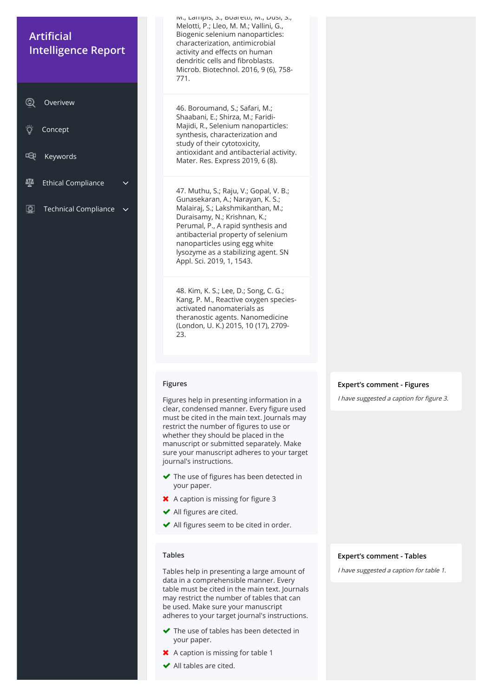IVI., Lampis, S., Duaretti, IVI., Dusi, S., Melotti, P.; Lleo, M. M.; Vallini, G., Biogenic selenium nanoparticles: characterization, antimicrobial activity and effects on human dendritic cells and fibroblasts. Microb. Biotechnol. 2016, 9 (6), 758- 771.

46. Boroumand, S.; Safari, M.; Shaabani, E.; Shirza, M.; Faridi-Majidi, R., Selenium nanoparticles: synthesis, characterization and study of their cytotoxicity, antioxidant and antibacterial activity. Mater. Res. Express 2019, 6 (8).

47. Muthu, S.; Raju, V.; Gopal, V. B.; Gunasekaran, A.; Narayan, K. S.; Malairaj, S.; Lakshmikanthan, M.; Duraisamy, N.; Krishnan, K.; Perumal, P., A rapid synthesis and antibacterial property of selenium nanoparticles using egg white lysozyme as a stabilizing agent. SN Appl. Sci. 2019, 1, 1543.

48. Kim, K. S.; Lee, D.; Song, C. G.; Kang, P. M., Reactive oxygen speciesactivated nanomaterials as theranostic agents. Nanomedicine (London, U. K.) 2015, 10 (17), 2709- 23.

#### **Figures**

# **Artificial Intelligence Report**

- 啞 Keywords
- 砸 Ethical Compliance
- $\boxed{\mathcal{Q}}$ Technical Compliance

Figures help in presenting information in a clear, condensed manner. Every figure used must be cited in the main text. Journals may restrict the number of figures to use or whether they should be placed in the manuscript or submitted separately. Make sure your manuscript adheres to your target journal's instructions.

- $\blacktriangleright$  The use of figures has been detected in your paper.
- $\blacktriangleright$  A caption is missing for figure 3
- $\blacktriangleright$  All figures are cited.
- $\blacktriangleright$  All figures seem to be cited in order.

#### **Expert's comment - Figures**

I have suggested a caption for figure 3.

#### **Tables**

Tables help in presenting a large amount of data in a comprehensible manner. Every table must be cited in the main text. Journals may restrict the number of tables that can be used. Make sure your manuscript adheres to your target journal's instructions.

- ◆ The use of tables has been detected in your paper.
- **X** A caption is missing for table 1
- $\blacktriangleright$  All tables are cited.

#### **Expert's comment - Tables**

I have suggested a caption for table 1.

| $\circledcirc$ | 'Overivew |
|----------------|-----------|
|                |           |

| Concept |  |
|---------|--|
|         |  |